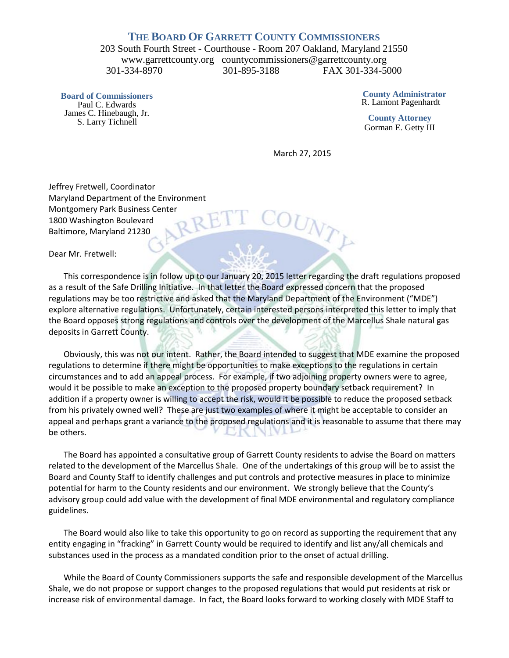## **THE BOARD OF GARRETT COUNTY COMMISSIONERS**

203 South Fourth Street - Courthouse - Room 207 Oakland, Maryland 21550 www.garrettcounty.org countycommissioners@garrettcounty.org 301-334-8970 301-895-3188 FAX 301-334-5000

**Board of Commissioners** Paul C. Edwards James C. Hinebaugh, Jr. S. Larry Tichnell

**County Administrator** R. Lamont Pagenhardt

**County Attorney** Gorman E. Getty III

March 27, 2015

UNTE

Jeffrey Fretwell, Coordinator Maryland Department of the Environment Montgomery Park Business Center<br>1800 Washington Boulevard<br>Baltimore, Maryland 21230 1800 Washington Boulevard Baltimore, Maryland 21230

Dear Mr. Fretwell:

This correspondence is in follow up to our January 20, 2015 letter regarding the draft regulations proposed as a result of the Safe Drilling Initiative. In that letter the Board expressed concern that the proposed regulations may be too restrictive and asked that the Maryland Department of the Environment ("MDE") explore alternative regulations. Unfortunately, certain interested persons interpreted this letter to imply that the Board opposes strong regulations and controls over the development of the Marcellus Shale natural gas deposits in Garrett County.

Obviously, this was not our intent. Rather, the Board intended to suggest that MDE examine the proposed regulations to determine if there might be opportunities to make exceptions to the regulations in certain circumstances and to add an appeal process. For example, if two adjoining property owners were to agree, would it be possible to make an exception to the proposed property boundary setback requirement? In addition if a property owner is willing to accept the risk, would it be possible to reduce the proposed setback from his privately owned well? These are just two examples of where it might be acceptable to consider an appeal and perhaps grant a variance to the proposed regulations and it is reasonable to assume that there may be others.

The Board has appointed a consultative group of Garrett County residents to advise the Board on matters related to the development of the Marcellus Shale. One of the undertakings of this group will be to assist the Board and County Staff to identify challenges and put controls and protective measures in place to minimize potential for harm to the County residents and our environment. We strongly believe that the County's advisory group could add value with the development of final MDE environmental and regulatory compliance guidelines.

The Board would also like to take this opportunity to go on record as supporting the requirement that any entity engaging in "fracking" in Garrett County would be required to identify and list any/all chemicals and substances used in the process as a mandated condition prior to the onset of actual drilling.

While the Board of County Commissioners supports the safe and responsible development of the Marcellus Shale, we do not propose or support changes to the proposed regulations that would put residents at risk or increase risk of environmental damage. In fact, the Board looks forward to working closely with MDE Staff to